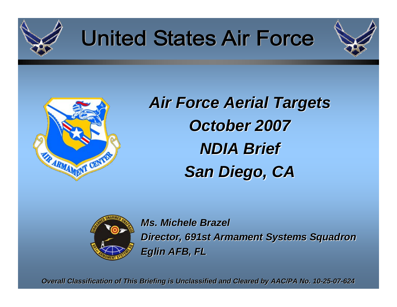

# **United States Air Force**





*Air Force Aerial Targets Air Force Aerial Targets October 2007 October 2007 NDIA Brief NDIA Brief San Diego, CA San Diego, CA*



*Ms. Michele Brazel Ms. Michele BrazelDirector, 691st Armament Systems Squadron Director, 691st Armament Systems Squadron Eglin AFB, FL Eglin AFB, FL*

*Overall Classification of Overall Classification of This Briefing is Unclassified and Clea classified and Cleared by AAC/PA No. 10 red by AAC/PA No. 10-25-07-624*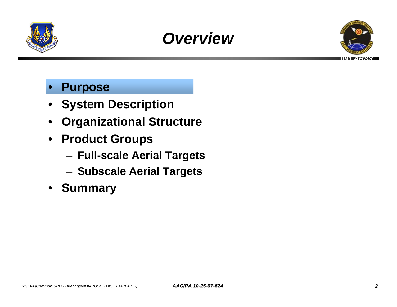





### • **Purpose**

- **System Description**
- **Organizational Structure**
- **Product Groups**
	- **Full-scale Aerial Targets**
	- **Subscale Aerial Targets**
- **Summary**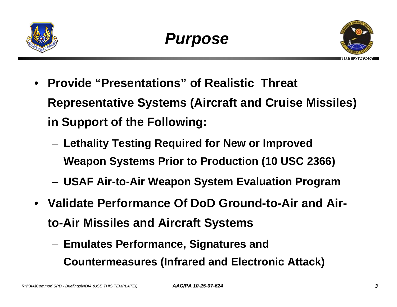



- **Provide "Presentations" of Realistic Threat Representative Systems (Aircraft and Cruise Missiles) in Support of the Following:**
	- **Lethality Testing Required for New or Improved Weapon Systems Prior to Production (10 USC 2366)**
	- **USAF Air-to-Air Weapon System Evaluation Program**
- **Validate Performance Of DoD Ground-to-Air and Airto-Air Missiles and Aircraft Systems**
	- **Emulates Performance, Signatures and Countermeasures (Infrared and Electronic Attack)**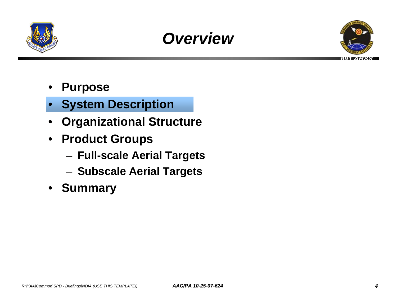





- **Purpose**
- **System Description**
- **Organizational Structure**
- **Product Groups**
	- **Full-scale Aerial Targets**
	- **Subscale Aerial Targets**
- **Summary**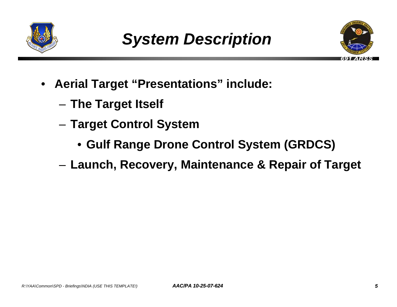



- **Aerial Target "Presentations" include:**
	- **The Target Itself**
	- **Target Control System**
		- **Gulf Range Drone Control System (GRDCS)**
	- **Launch, Recovery, Maintenance & Repair of Target**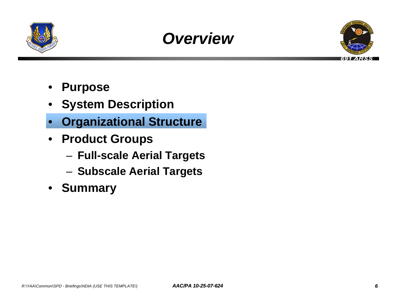





- **Purpose**
- **System Description**
- **Organizational Structure**
- **Product Groups**
	- **Full-scale Aerial Targets**
	- **Subscale Aerial Targets**
- **Summary**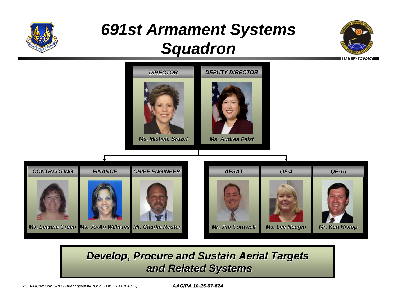

# *691st Armament Systems Squadron*





### *Develop, Procure and Sustain Aerial Targets and Related Systems and Related Systems*

*R:\YAA\Common\SPD - Briefings\NDIA (USE THIS TEMPLATE!) AAC/PA 10-25-07-624 7*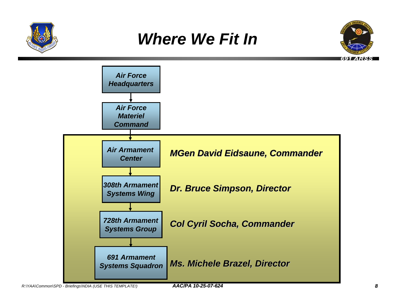

# *Where We Fit In*



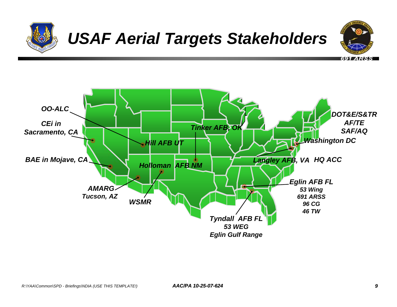

# *USAF Aerial Targets Stakeholders*



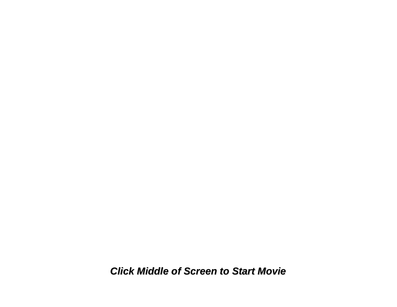<span id="page-9-0"></span>*Click Middle of Screen to Start Movie Click Middle of Screen to Start Movie*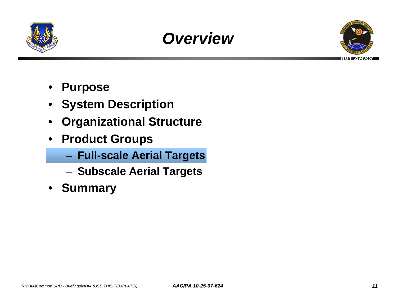





- **Purpose**
- **System Description**
- **Organizational Structure**
- **Product Groups**
	- **Full-scale Aerial Targets**
	- **Subscale Aerial Targets**
- **Summary**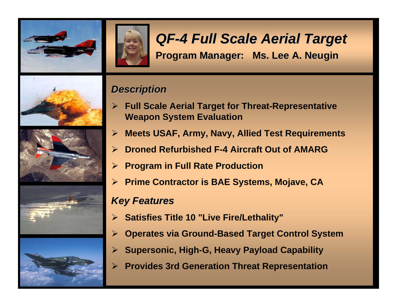



### *QF-4 Full Scale Aerial Target 4 Full Scale Aerial Target* **Program Manager: Ms. Lee A. Neugin Program Manager: Ms. Lee A. Neugin**









### *Description Description*

- ¾ **Full Scale Aerial Target for Threat-Representative Weapon System Evaluation**
- $\blacktriangleright$ **Meets USAF, Army, Navy, Allied Test Requirements**
- ¾ **Droned Refurbished F-4 Aircraft Out of AMARG**
- ¾ **Program in Full Rate Production**
- ¾ **Prime Contractor is BAE Systems, Mojave, CA**

#### *Key Features Key Features*

- ¾ **Satisfies Title 10 "Live Fire/Lethality"**
- $\blacktriangleright$ **Operates via Ground-Based Target Control System**
- ¾ **Supersonic, High-G, Heavy Payload Capability**
- $\blacktriangleright$ **Provides 3rd Generation Threat Representation**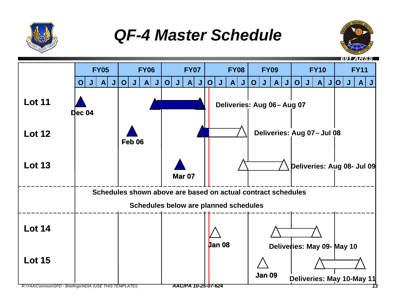

# *QF-4 Master Schedule*



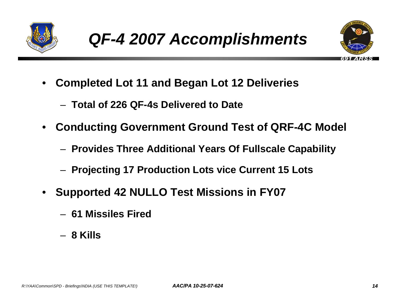



- **Completed Lot 11 and Began Lot 12 Deliveries**
	- **Total of 226 QF-4s Delivered to Date**
- **Conducting Government Ground Test of QRF-4C Model**
	- **Provides Three Additional Years Of Fullscale Capability**
	- **Projecting 17 Production Lots vice Current 15 Lots**
- **Supported 42 NULLO Test Missions in FY07**
	- **61 Missiles Fired**
	- **8 Kills**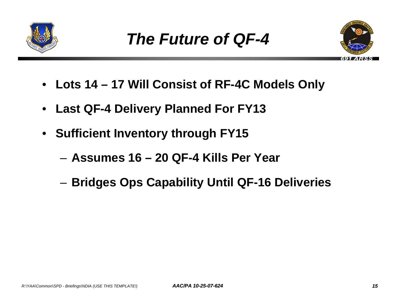



- **Lots 14 17 Will Consist of RF-4C Models Only**
- **Last QF-4 Delivery Planned For FY13**
- **Sufficient Inventory through FY15**
	- **Assumes 16 20 QF-4 Kills Per Year**
	- **Bridges Ops Capability Until QF-16 Deliveries**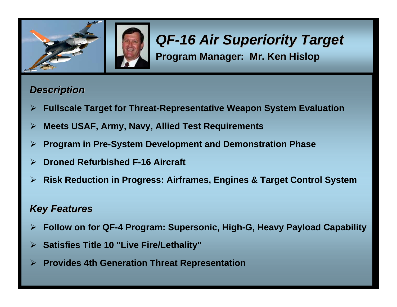

### *QF-16 Air Superiority Target 16 Air Superiority Target* **Program Manager: Mr. Ken Hislop Program Manager: Mr. Ken Hislop**

#### *Description Description*

- ¾**Fullscale Target for Threat-Representative Weapon System Evaluation**
- ¾**Meets USAF, Army, Navy, Allied Test Requirements**
- ¾**Program in Pre-System Development and Demonstration Phase**
- ¾**Droned Refurbished F-16 Aircraft**
- ¾**Risk Reduction in Progress: Airframes, Engines & Target Control System**

#### *Key Features Key Features*

¾ **Follow on for QF-4 Program: Supersonic, High-G, Heavy Payload Capability** 

*R:\YAA\Common\SPD - Briefings\NDIA (USE THIS TEMPLATE!) AAC/PA 10-25-07-624 16*

- ¾ **Satisfies Title 10 "Live Fire/Lethality"**
- ¾**Provides 4th Generation Threat Representation**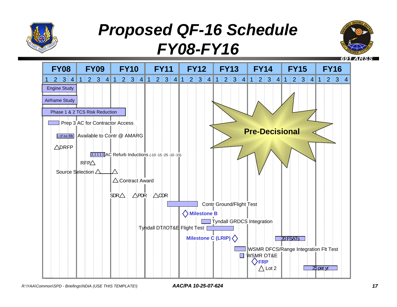

# *Proposed QF-16 Schedule FY08-FY16*



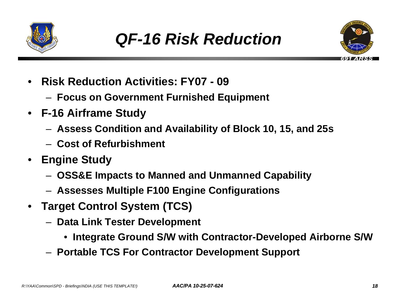



- **Risk Reduction Activities: FY07 09**
	- **Focus on Government Furnished Equipment**
- **F-16 Airframe Study**
	- **Assess Condition and Availability of Block 10, 15, and 25s**
	- **Cost of Refurbishment**
- **Engine Study**
	- **OSS&E Impacts to Manned and Unmanned Capability**
	- **Assesses Multiple F100 Engine Configurations**
- **Target Control System (TCS)**
	- **Data Link Tester Development**
		- **Integrate Ground S/W with Contractor-Developed Airborne S/W**
	- **Portable TCS For Contractor Development Support**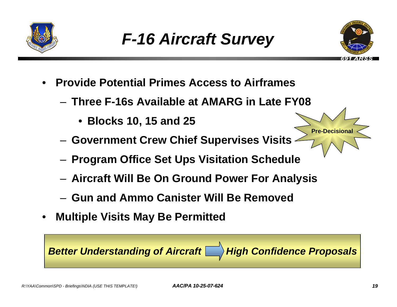



**Pre-Decisiona** 

- **Provide Potential Primes Access to Airframes**
	- **Three F-16s Available at AMARG in Late FY08**
		- **Blocks 10, 15 and 25**
	- **Government Crew Chief Supervises Visits**
	- **Program Office Set Ups Visitation Schedule**
	- **Aircraft Will Be On Ground Power For Analysis**
	- **Gun and Ammo Canister Will Be Removed**
- **Multiple Visits May Be Permitted**

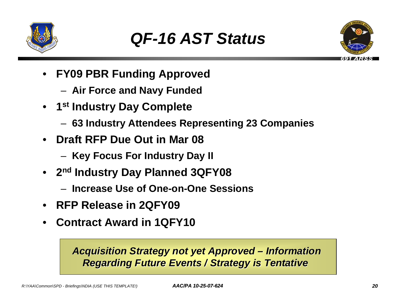



- **FY09 PBR Funding Approved**
	- **Air Force and Navy Funded**
- **1st Industry Day Complete**
	- **63 Industry Attendees Representing 23 Companies**
- **Draft RFP Due Out in Mar 08**
	- **Key Focus For Industry Day II**
- **2nd Industry Day Planned 3QFY08**
	- **Increase Use of One-on-One Sessions**
- **RFP Release in 2QFY09**
- **Contract Award in 1QFY10**

### **Acquisition Strategy not yet Approved – Information Regarding Future Events / Strategy is Tentative**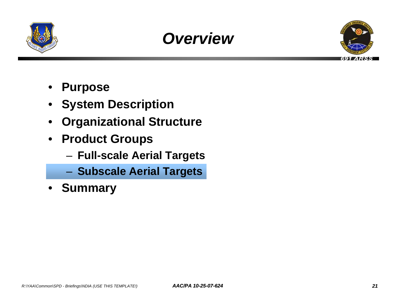





- **Purpose**
- **System Description**
- **Organizational Structure**
- **Product Groups**
	- **Full-scale Aerial Targets**
	- **Subscale Aerial Targets**
- **Summary**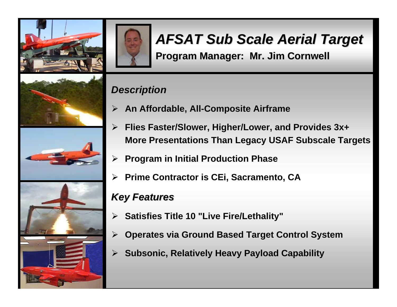



# *AFSAT Sub Scale Aerial Target AFSAT Sub Scale Aerial Target*

**Program Manager: Mr. Jim Cornwell Program Manager: Mr. Jim Cornwell**

### *Description Description*

- ¾ **An Affordable, All-Composite Airframe**
- $\blacktriangleright$  **Flies Faster/Slower, Higher/Lower, and Provides 3x+ More Presentations Than Legacy USAF Subscale Targets**
- $\blacktriangleright$ **Program in Initial Production Phase**
- ¾ **Prime Contractor is CEi, Sacramento, CA**

### *Key Features Key Features*

¾ **Satisfies Title 10 "Live Fire/Lethality"**

*R:\YAA\Common\SPD - Briefings\NDIA (USE THIS TEMPLATE!) AAC/PA 10-25-07-624 22*

- ¾**Operates via Ground Based Target Control System**
- ¾ **Subsonic, Relatively Heavy Payload Capability**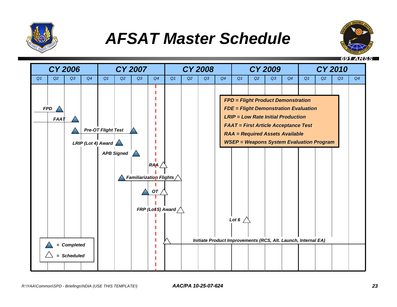

### *AFSAT Master Schedule*



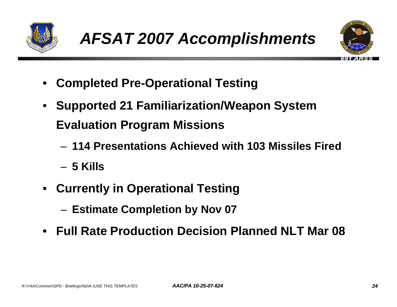



- **Completed Pre-Operational Testing**
- **Supported 21 Familiarization/Weapon System Evaluation Program Missions**
	- **114 Presentations Achieved with 103 Missiles Fired**
	- **5 Kills**
- **Currently in Operational Testing** 
	- **Estimate Completion by Nov 07**
- **Full Rate Production Decision Planned NLT Mar 08**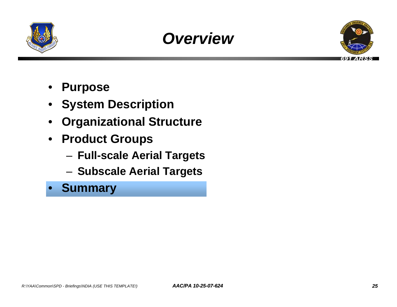





- **Purpose**
- **System Description**
- **Organizational Structure**
- **Product Groups**
	- **Full-scale Aerial Targets**
	- **Subscale Aerial Targets**
- **Summary**